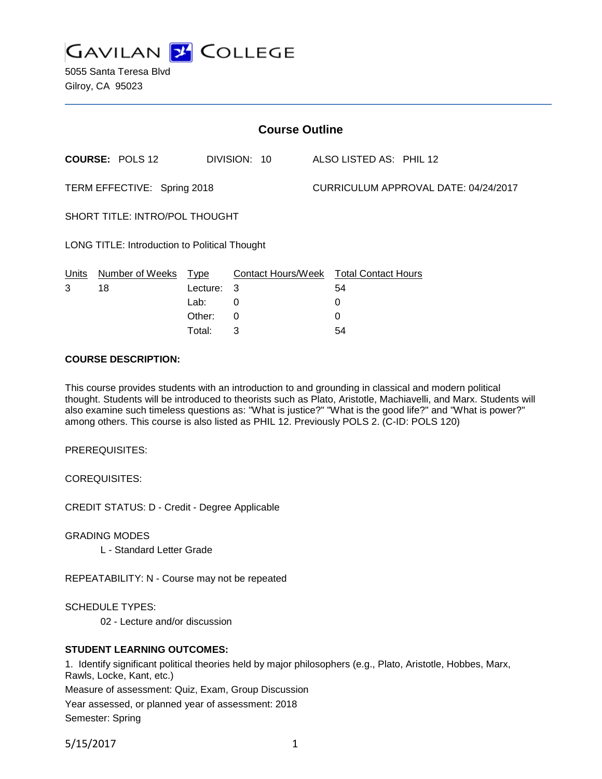

5055 Santa Teresa Blvd Gilroy, CA 95023

| <b>Course Outline</b>                                |                        |          |                                        |  |                                      |  |  |
|------------------------------------------------------|------------------------|----------|----------------------------------------|--|--------------------------------------|--|--|
|                                                      | <b>COURSE: POLS 12</b> |          | DIVISION: 10                           |  | ALSO LISTED AS: PHIL 12              |  |  |
| TERM EFFECTIVE: Spring 2018                          |                        |          |                                        |  | CURRICULUM APPROVAL DATE: 04/24/2017 |  |  |
| SHORT TITLE: INTRO/POL THOUGHT                       |                        |          |                                        |  |                                      |  |  |
| <b>LONG TITLE: Introduction to Political Thought</b> |                        |          |                                        |  |                                      |  |  |
| Units                                                | Number of Weeks        | Type     | Contact Hours/Week Total Contact Hours |  |                                      |  |  |
| 3                                                    | 18                     | Lecture: | 3                                      |  | 54                                   |  |  |
|                                                      |                        | Lab:     | 0                                      |  | 0                                    |  |  |
|                                                      |                        | Other:   | 0                                      |  | 0                                    |  |  |

Total: 3 54

### **COURSE DESCRIPTION:**

This course provides students with an introduction to and grounding in classical and modern political thought. Students will be introduced to theorists such as Plato, Aristotle, Machiavelli, and Marx. Students will also examine such timeless questions as: "What is justice?" "What is the good life?" and "What is power?" among others. This course is also listed as PHIL 12. Previously POLS 2. (C-ID: POLS 120)

PREREQUISITES:

COREQUISITES:

CREDIT STATUS: D - Credit - Degree Applicable

GRADING MODES

L - Standard Letter Grade

REPEATABILITY: N - Course may not be repeated

SCHEDULE TYPES:

02 - Lecture and/or discussion

#### **STUDENT LEARNING OUTCOMES:**

1. Identify significant political theories held by major philosophers (e.g., Plato, Aristotle, Hobbes, Marx, Rawls, Locke, Kant, etc.)

Measure of assessment: Quiz, Exam, Group Discussion

Year assessed, or planned year of assessment: 2018 Semester: Spring

5/15/2017 1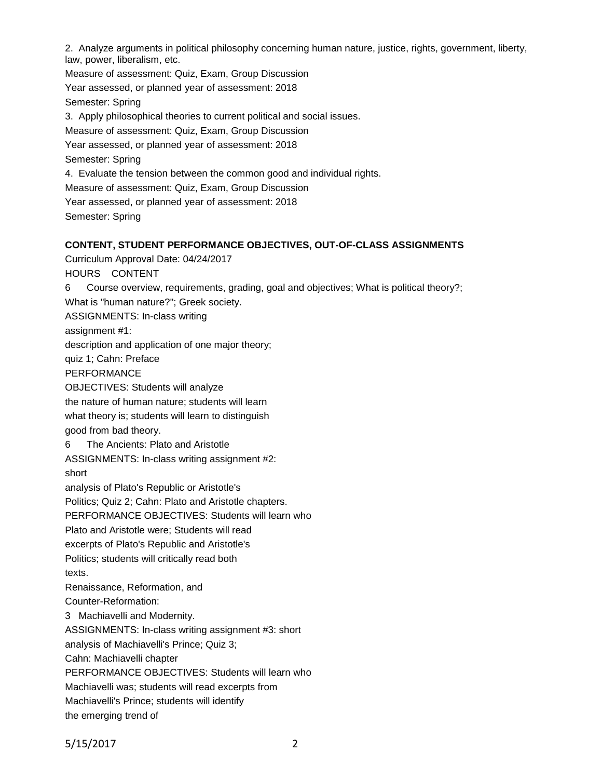2. Analyze arguments in political philosophy concerning human nature, justice, rights, government, liberty, law, power, liberalism, etc.

Measure of assessment: Quiz, Exam, Group Discussion Year assessed, or planned year of assessment: 2018 Semester: Spring 3. Apply philosophical theories to current political and social issues. Measure of assessment: Quiz, Exam, Group Discussion Year assessed, or planned year of assessment: 2018 Semester: Spring 4. Evaluate the tension between the common good and individual rights. Measure of assessment: Quiz, Exam, Group Discussion Year assessed, or planned year of assessment: 2018 Semester: Spring

### **CONTENT, STUDENT PERFORMANCE OBJECTIVES, OUT-OF-CLASS ASSIGNMENTS**

Curriculum Approval Date: 04/24/2017

HOURS CONTENT

6 Course overview, requirements, grading, goal and objectives; What is political theory?; What is "human nature?"; Greek society.

ASSIGNMENTS: In-class writing

assignment #1:

description and application of one major theory;

quiz 1; Cahn: Preface

PERFORMANCE

OBJECTIVES: Students will analyze

the nature of human nature; students will learn

what theory is; students will learn to distinguish

good from bad theory.

6 The Ancients: Plato and Aristotle

ASSIGNMENTS: In-class writing assignment #2: short

analysis of Plato's Republic or Aristotle's

Politics; Quiz 2; Cahn: Plato and Aristotle chapters.

PERFORMANCE OBJECTIVES: Students will learn who

Plato and Aristotle were; Students will read

excerpts of Plato's Republic and Aristotle's

Politics; students will critically read both texts.

Renaissance, Reformation, and Counter-Reformation:

3 Machiavelli and Modernity.

ASSIGNMENTS: In-class writing assignment #3: short

analysis of Machiavelli's Prince; Quiz 3;

Cahn: Machiavelli chapter

PERFORMANCE OBJECTIVES: Students will learn who

Machiavelli was; students will read excerpts from

Machiavelli's Prince; students will identify

the emerging trend of

5/15/2017 2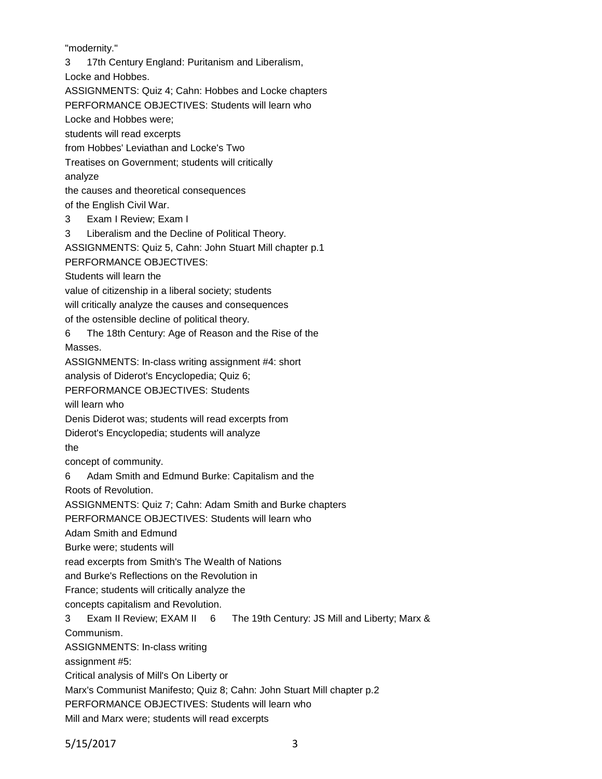"modernity."

3 17th Century England: Puritanism and Liberalism,

Locke and Hobbes.

ASSIGNMENTS: Quiz 4; Cahn: Hobbes and Locke chapters

PERFORMANCE OBJECTIVES: Students will learn who

Locke and Hobbes were;

students will read excerpts

from Hobbes' Leviathan and Locke's Two

Treatises on Government; students will critically analyze

the causes and theoretical consequences

of the English Civil War.

3 Exam I Review; Exam I

3 Liberalism and the Decline of Political Theory.

ASSIGNMENTS: Quiz 5, Cahn: John Stuart Mill chapter p.1

PERFORMANCE OBJECTIVES:

Students will learn the

value of citizenship in a liberal society; students

will critically analyze the causes and consequences

of the ostensible decline of political theory.

6 The 18th Century: Age of Reason and the Rise of the

Masses.

ASSIGNMENTS: In-class writing assignment #4: short

analysis of Diderot's Encyclopedia; Quiz 6;

PERFORMANCE OBJECTIVES: Students

will learn who

Denis Diderot was; students will read excerpts from

Diderot's Encyclopedia; students will analyze

the

concept of community.

6 Adam Smith and Edmund Burke: Capitalism and the

Roots of Revolution.

ASSIGNMENTS: Quiz 7; Cahn: Adam Smith and Burke chapters

PERFORMANCE OBJECTIVES: Students will learn who

Adam Smith and Edmund

Burke were; students will

read excerpts from Smith's The Wealth of Nations

and Burke's Reflections on the Revolution in

France; students will critically analyze the

concepts capitalism and Revolution.

3 Exam II Review; EXAM II 6 The 19th Century: JS Mill and Liberty; Marx &

Communism.

ASSIGNMENTS: In-class writing

assignment #5:

Critical analysis of Mill's On Liberty or

Marx's Communist Manifesto; Quiz 8; Cahn: John Stuart Mill chapter p.2

PERFORMANCE OBJECTIVES: Students will learn who

Mill and Marx were; students will read excerpts

5/15/2017 3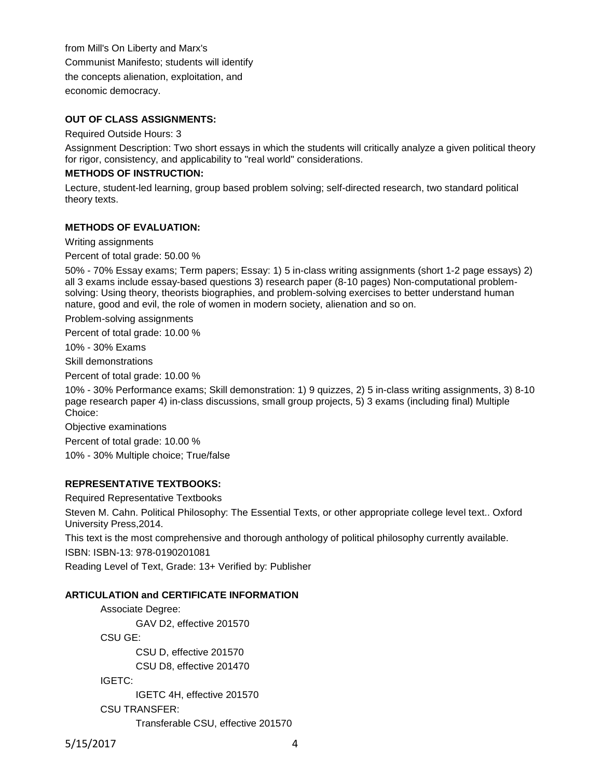from Mill's On Liberty and Marx's Communist Manifesto; students will identify the concepts alienation, exploitation, and economic democracy.

### **OUT OF CLASS ASSIGNMENTS:**

Required Outside Hours: 3

Assignment Description: Two short essays in which the students will critically analyze a given political theory for rigor, consistency, and applicability to "real world" considerations.

### **METHODS OF INSTRUCTION:**

Lecture, student-led learning, group based problem solving; self-directed research, two standard political theory texts.

#### **METHODS OF EVALUATION:**

Writing assignments

Percent of total grade: 50.00 %

50% - 70% Essay exams; Term papers; Essay: 1) 5 in-class writing assignments (short 1-2 page essays) 2) all 3 exams include essay-based questions 3) research paper (8-10 pages) Non-computational problemsolving: Using theory, theorists biographies, and problem-solving exercises to better understand human nature, good and evil, the role of women in modern society, alienation and so on.

Problem-solving assignments

Percent of total grade: 10.00 %

10% - 30% Exams

Skill demonstrations

Percent of total grade: 10.00 %

10% - 30% Performance exams; Skill demonstration: 1) 9 quizzes, 2) 5 in-class writing assignments, 3) 8-10 page research paper 4) in-class discussions, small group projects, 5) 3 exams (including final) Multiple Choice:

Objective examinations

Percent of total grade: 10.00 % 10% - 30% Multiple choice; True/false

## **REPRESENTATIVE TEXTBOOKS:**

Required Representative Textbooks

Steven M. Cahn. Political Philosophy: The Essential Texts, or other appropriate college level text.. Oxford University Press,2014.

This text is the most comprehensive and thorough anthology of political philosophy currently available.

ISBN: ISBN-13: 978-0190201081

Reading Level of Text, Grade: 13+ Verified by: Publisher

#### **ARTICULATION and CERTIFICATE INFORMATION**

Associate Degree: GAV D2, effective 201570 CSU GE: CSU D, effective 201570 CSU D8, effective 201470 IGETC: IGETC 4H, effective 201570 CSU TRANSFER: Transferable CSU, effective 201570